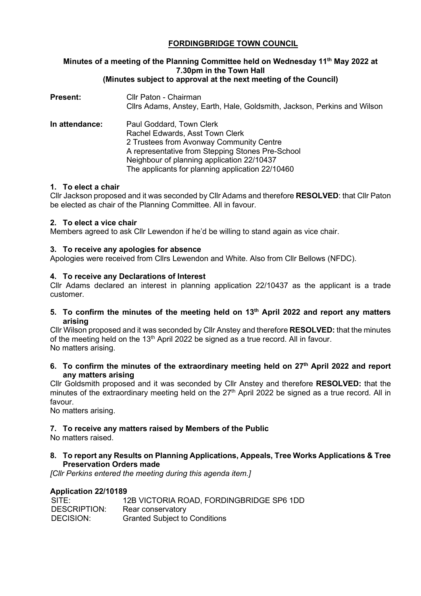## **FORDINGBRIDGE TOWN COUNCIL**

### **Minutes of a meeting of the Planning Committee held on Wednesday 11th May 2022 at 7.30pm in the Town Hall (Minutes subject to approval at the next meeting of the Council)**

| <b>Present:</b> | Cllr Paton - Chairman<br>Cllrs Adams, Anstey, Earth, Hale, Goldsmith, Jackson, Perkins and Wilson                                                                                                                                                             |
|-----------------|---------------------------------------------------------------------------------------------------------------------------------------------------------------------------------------------------------------------------------------------------------------|
| In attendance:  | Paul Goddard, Town Clerk<br>Rachel Edwards, Asst Town Clerk<br>2 Trustees from Avonway Community Centre<br>A representative from Stepping Stones Pre-School<br>Neighbour of planning application 22/10437<br>The applicants for planning application 22/10460 |

## **1. To elect a chair**

Cllr Jackson proposed and it was seconded by Cllr Adams and therefore **RESOLVED**: that Cllr Paton be elected as chair of the Planning Committee. All in favour.

## **2. To elect a vice chair**

Members agreed to ask Cllr Lewendon if he'd be willing to stand again as vice chair.

## **3. To receive any apologies for absence**

Apologies were received from Cllrs Lewendon and White. Also from Cllr Bellows (NFDC).

## **4. To receive any Declarations of Interest**

Cllr Adams declared an interest in planning application 22/10437 as the applicant is a trade customer.

### **5. To confirm the minutes of the meeting held on 13th April 2022 and report any matters arising**

Cllr Wilson proposed and it was seconded by Cllr Anstey and therefore **RESOLVED:** that the minutes of the meeting held on the 13<sup>th</sup> April 2022 be signed as a true record. All in favour. No matters arising.

**6. To confirm the minutes of the extraordinary meeting held on 27th April 2022 and report any matters arising**

Cllr Goldsmith proposed and it was seconded by Cllr Anstey and therefore **RESOLVED:** that the minutes of the extraordinary meeting held on the 27<sup>th</sup> April 2022 be signed as a true record. All in favour.

No matters arising.

## **7. To receive any matters raised by Members of the Public**

No matters raised.

## **8. To report any Results on Planning Applications, Appeals, Tree Works Applications & Tree Preservation Orders made**

*[Cllr Perkins entered the meeting during this agenda item.]*

## **Application 22/10189**

| SITE:        | 12B VICTORIA ROAD, FORDINGBRIDGE SP6 1DD |
|--------------|------------------------------------------|
| DESCRIPTION: | Rear conservatory                        |
| DECISION:    | <b>Granted Subject to Conditions</b>     |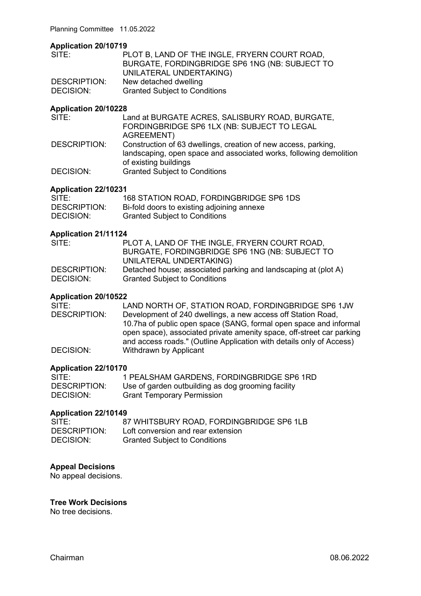Planning Committee 11.05.2022

### **Application 20/10719**

| SITE:        | PLOT B, LAND OF THE INGLE, FRYERN COURT ROAD,  |
|--------------|------------------------------------------------|
|              | BURGATE, FORDINGBRIDGE SP6 1NG (NB: SUBJECT TO |
|              | UNILATERAL UNDERTAKING)                        |
| DESCRIPTION: | New detached dwelling                          |
| DECISION:    | <b>Granted Subject to Conditions</b>           |

## **Application 20/10228**

| Land at BURGATE ACRES, SALISBURY ROAD, BURGATE,                    |
|--------------------------------------------------------------------|
| FORDINGBRIDGE SP6 1LX (NB: SUBJECT TO LEGAL                        |
|                                                                    |
| Construction of 63 dwellings, creation of new access, parking,     |
| landscaping, open space and associated works, following demolition |
|                                                                    |
|                                                                    |
|                                                                    |

#### **Application 22/10231**

| SITE:        | 168 STATION ROAD, FORDINGBRIDGE SP6 1DS    |
|--------------|--------------------------------------------|
| DESCRIPTION: | Bi-fold doors to existing adjoining annexe |
| DECISION:    | <b>Granted Subject to Conditions</b>       |

## **Application 21/11124**

| SITE:        | PLOT A, LAND OF THE INGLE, FRYERN COURT ROAD,                  |
|--------------|----------------------------------------------------------------|
|              | BURGATE, FORDINGBRIDGE SP6 1NG (NB: SUBJECT TO                 |
|              | UNILATERAL UNDERTAKING)                                        |
| DESCRIPTION: | Detached house; associated parking and landscaping at (plot A) |
| DECISION:    | <b>Granted Subject to Conditions</b>                           |

## **Application 20/10522**

| SITE:               | LAND NORTH OF, STATION ROAD, FORDINGBRIDGE SP6 1JW                    |
|---------------------|-----------------------------------------------------------------------|
| <b>DESCRIPTION:</b> | Development of 240 dwellings, a new access off Station Road,          |
|                     | 10.7ha of public open space (SANG, formal open space and informal     |
|                     | open space), associated private amenity space, off-street car parking |
|                     | and access roads." (Outline Application with details only of Access)  |
| DECISION:           | Withdrawn by Applicant                                                |

### **Application 22/10170**

| SITE:               | 1 PEALSHAM GARDENS, FORDINGBRIDGE SP6 1RD          |
|---------------------|----------------------------------------------------|
| <b>DESCRIPTION:</b> | Use of garden outbuilding as dog grooming facility |
| DECISION:           | <b>Grant Temporary Permission</b>                  |

## **Application 22/10149**

| SITE:        | 87 WHITSBURY ROAD, FORDINGBRIDGE SP6 1LB |
|--------------|------------------------------------------|
| DESCRIPTION: | Loft conversion and rear extension       |
| DECISION:    | <b>Granted Subject to Conditions</b>     |

## **Appeal Decisions**

No appeal decisions.

## **Tree Work Decisions**

No tree decisions.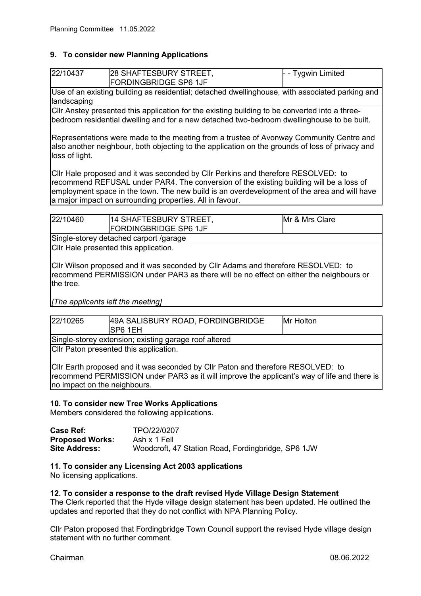## **9. To consider new Planning Applications**

| 22/10437 | 28 SHAFTESBURY STREET,<br><b>FORDINGBRIDGE SP6 1JF</b>                                          | $\vdash$ - Tygwin Limited |
|----------|-------------------------------------------------------------------------------------------------|---------------------------|
|          | Use of an existing building as residential; detached dwellinghouse, with associated parking and |                           |

landscaping Cllr Anstey presented this application for the existing building to be converted into a threebedroom residential dwelling and for a new detached two-bedroom dwellinghouse to be built.

Representations were made to the meeting from a trustee of Avonway Community Centre and also another neighbour, both objecting to the application on the grounds of loss of privacy and loss of light.

Cllr Hale proposed and it was seconded by Cllr Perkins and therefore RESOLVED: to recommend REFUSAL under PAR4. The conversion of the existing building will be a loss of employment space in the town. The new build is an overdevelopment of the area and will have a major impact on surrounding properties. All in favour.

| 22/10460                               | 114 SHAFTESBURY STREET,<br><b>FORDINGBRIDGE SP6 1JF</b> | Mr & Mrs Clare |
|----------------------------------------|---------------------------------------------------------|----------------|
| Single-storey detached carport /garage |                                                         |                |

Cllr Hale presented this application.

Cllr Wilson proposed and it was seconded by Cllr Adams and therefore RESOLVED: to recommend PERMISSION under PAR3 as there will be no effect on either the neighbours or the tree.

*[The applicants left the meeting]*

| 22/10265                                              | 49A SALISBURY ROAD, FORDINGBRIDGE<br>SP6 1EH | Mr Holton |
|-------------------------------------------------------|----------------------------------------------|-----------|
| Single-storey extension; existing garage roof altered |                                              |           |
|                                                       | Cllr Paton presented this application.       |           |

Cllr Earth proposed and it was seconded by Cllr Paton and therefore RESOLVED: to recommend PERMISSION under PAR3 as it will improve the applicant's way of life and there is no impact on the neighbours.

## **10. To consider new Tree Works Applications**

Members considered the following applications.

| Case Ref:              | TPO/22/0207                                        |
|------------------------|----------------------------------------------------|
| <b>Proposed Works:</b> | Ash x 1 Fell                                       |
| <b>Site Address:</b>   | Woodcroft, 47 Station Road, Fordingbridge, SP6 1JW |

**11. To consider any Licensing Act 2003 applications**

No licensing applications.

#### **12. To consider a response to the draft revised Hyde Village Design Statement**

The Clerk reported that the Hyde village design statement has been updated. He outlined the updates and reported that they do not conflict with NPA Planning Policy.

Cllr Paton proposed that Fordingbridge Town Council support the revised Hyde village design statement with no further comment.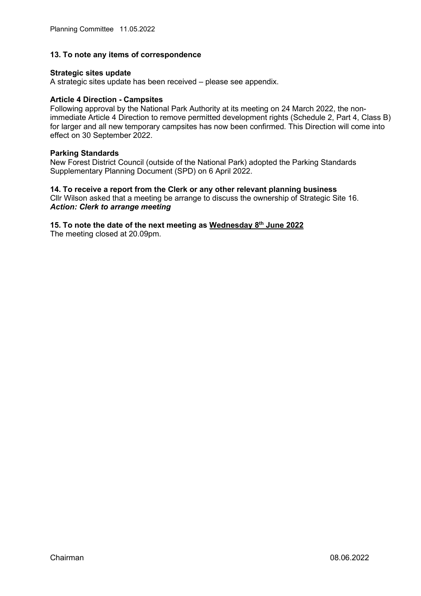#### **13. To note any items of correspondence**

#### **Strategic sites update**

A strategic sites update has been received – please see appendix.

#### **Article 4 Direction - Campsites**

Following approval by the National Park Authority at its meeting on 24 March 2022, the nonimmediate Article 4 Direction to remove permitted development rights (Schedule 2, Part 4, Class B) for larger and all new temporary campsites has now been confirmed. This Direction will come into effect on 30 September 2022.

#### **Parking Standards**

New Forest District Council (outside of the National Park) adopted the Parking Standards Supplementary Planning Document (SPD) on 6 April 2022.

# **14. To receive a report from the Clerk or any other relevant planning business**

Cllr Wilson asked that a meeting be arrange to discuss the ownership of Strategic Site 16. *Action: Clerk to arrange meeting*

# **15. To note the date of the next meeting as Wednesday 8th June 2022**

The meeting closed at 20.09pm.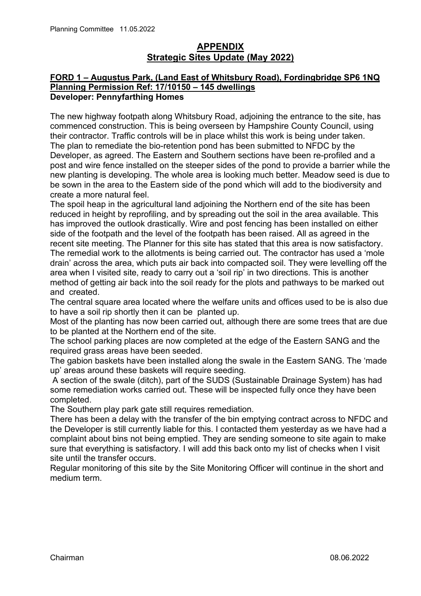## **APPENDIX Strategic Sites Update (May 2022)**

## **FORD 1 – Augustus Park, (Land East of Whitsbury Road), Fordingbridge SP6 1NQ Planning Permission Ref: 17/10150 – 145 dwellings Developer: Pennyfarthing Homes**

The new highway footpath along Whitsbury Road, adjoining the entrance to the site, has commenced construction. This is being overseen by Hampshire County Council, using their contractor. Traffic controls will be in place whilst this work is being under taken. The plan to remediate the bio-retention pond has been submitted to NFDC by the Developer, as agreed. The Eastern and Southern sections have been re-profiled and a post and wire fence installed on the steeper sides of the pond to provide a barrier while the new planting is developing. The whole area is looking much better. Meadow seed is due to be sown in the area to the Eastern side of the pond which will add to the biodiversity and create a more natural feel.

The spoil heap in the agricultural land adjoining the Northern end of the site has been reduced in height by reprofiling, and by spreading out the soil in the area available. This has improved the outlook drastically. Wire and post fencing has been installed on either side of the footpath and the level of the footpath has been raised. All as agreed in the recent site meeting. The Planner for this site has stated that this area is now satisfactory. The remedial work to the allotments is being carried out. The contractor has used a 'mole drain' across the area, which puts air back into compacted soil. They were levelling off the area when I visited site, ready to carry out a 'soil rip' in two directions. This is another method of getting air back into the soil ready for the plots and pathways to be marked out and created.

The central square area located where the welfare units and offices used to be is also due to have a soil rip shortly then it can be planted up.

Most of the planting has now been carried out, although there are some trees that are due to be planted at the Northern end of the site.

The school parking places are now completed at the edge of the Eastern SANG and the required grass areas have been seeded.

The gabion baskets have been installed along the swale in the Eastern SANG. The 'made up' areas around these baskets will require seeding.

A section of the swale (ditch), part of the SUDS (Sustainable Drainage System) has had some remediation works carried out. These will be inspected fully once they have been completed.

The Southern play park gate still requires remediation.

There has been a delay with the transfer of the bin emptying contract across to NFDC and the Developer is still currently liable for this. I contacted them yesterday as we have had a complaint about bins not being emptied. They are sending someone to site again to make sure that everything is satisfactory. I will add this back onto my list of checks when I visit site until the transfer occurs.

Regular monitoring of this site by the Site Monitoring Officer will continue in the short and medium term.